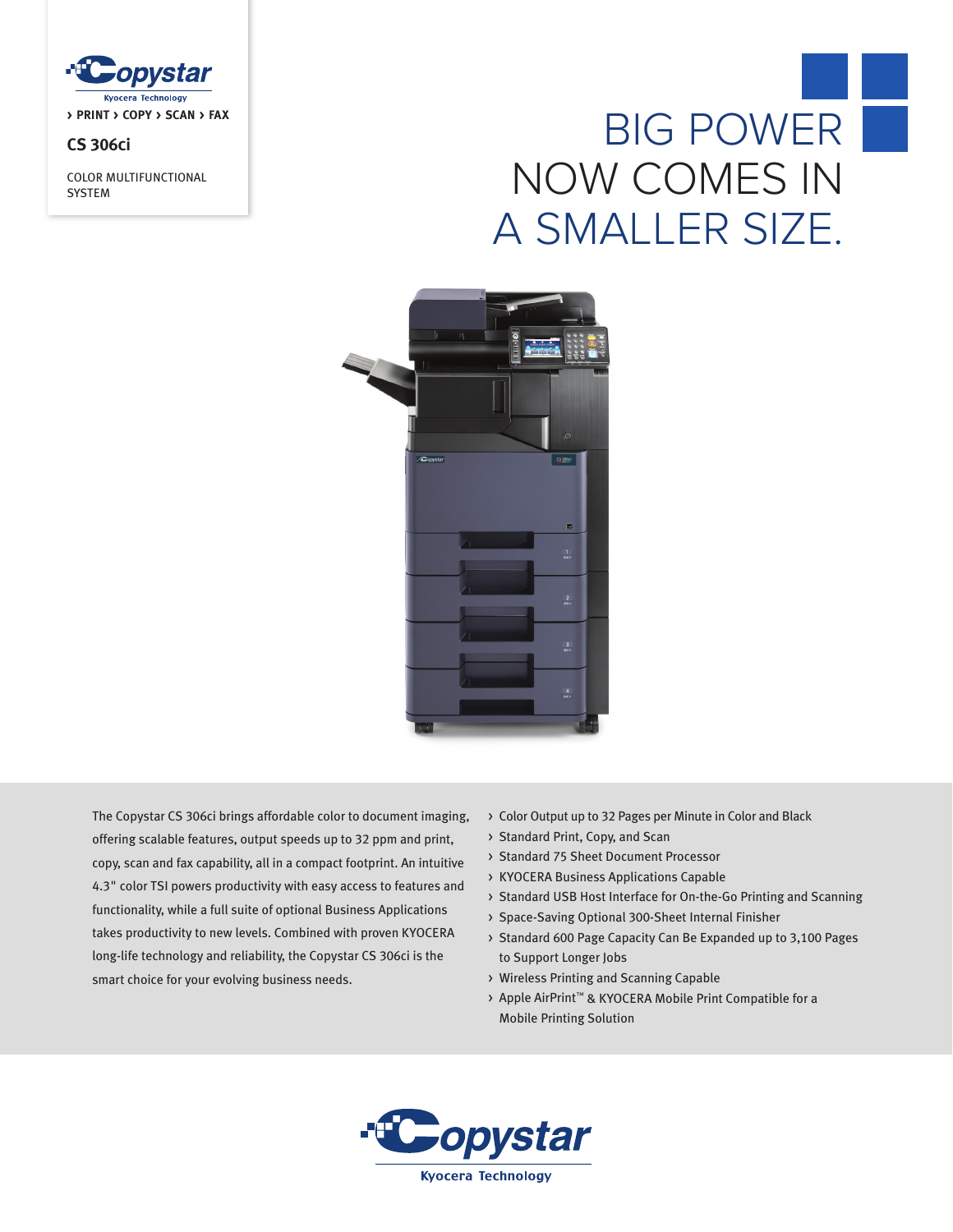

# **CS 306ci**

COLOR MULTIFUNCTIONAL SYSTEM

# BIG POWER NOW COMES IN A SMALLER SIZE.



The Copystar CS 306ci brings affordable color to document imaging, offering scalable features, output speeds up to 32 ppm and print, copy, scan and fax capability, all in a compact footprint. An intuitive 4.3" color TSI powers productivity with easy access to features and functionality, while a full suite of optional Business Applications takes productivity to new levels. Combined with proven KYOCERA long-life technology and reliability, the Copystar CS 306ci is the smart choice for your evolving business needs.

- > Color Output up to 32 Pages per Minute in Color and Black
- > Standard Print, Copy, and Scan
- > Standard 75 Sheet Document Processor
- > KYOCERA Business Applications Capable
- > Standard USB Host Interface for On-the-Go Printing and Scanning
- > Space-Saving Optional 300-Sheet Internal Finisher
- > Standard 600 Page Capacity Can Be Expanded up to 3,100 Pages to Support Longer Jobs
- > Wireless Printing and Scanning Capable
- > Apple AirPrint™ & KYOCERA Mobile Print Compatible for a Mobile Printing Solution